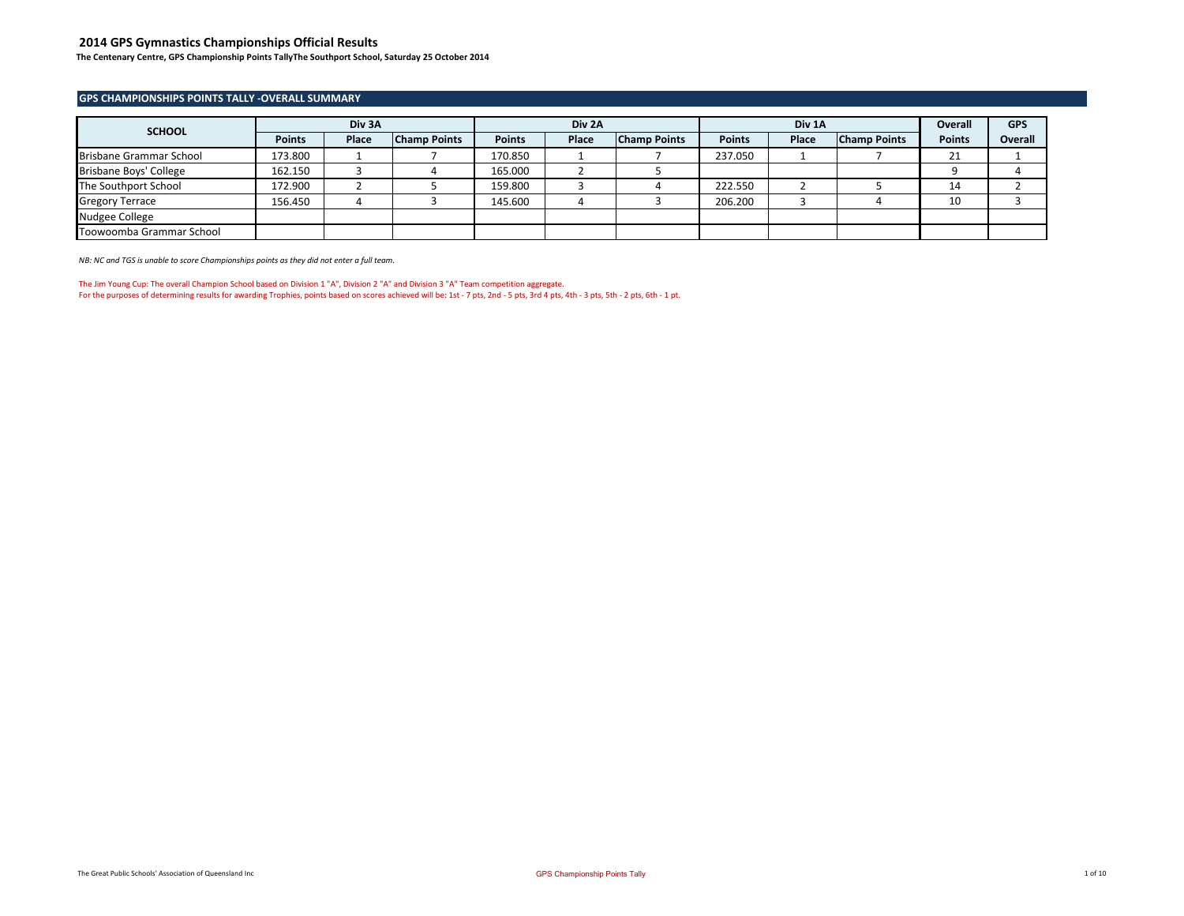**The Centenary Centre, GPS Championship Points TallyThe Southport School, Saturday 25 October 2014**

#### **GPS CHAMPIONSHIPS POINTS TALLY -OVERALL SUMMARY**

| <b>SCHOOL</b>            |               | Div 3A |                     |               | Div 2A |                     |               | Div 1A |                     | Overall       | <b>GPS</b> |
|--------------------------|---------------|--------|---------------------|---------------|--------|---------------------|---------------|--------|---------------------|---------------|------------|
|                          | <b>Points</b> | Place  | <b>Champ Points</b> | <b>Points</b> | Place  | <b>Champ Points</b> | <b>Points</b> | Place  | <b>Champ Points</b> | <b>Points</b> | Overall    |
| Brisbane Grammar School  | 173.800       |        |                     | 170.850       |        |                     | 237.050       |        |                     | ᅀ             |            |
| Brisbane Boys' College   | 162.150       |        |                     | 165.000       |        |                     |               |        |                     |               |            |
| The Southport School     | 172.900       |        |                     | 159.800       |        |                     | 222.550       |        |                     | 14            |            |
| <b>Gregory Terrace</b>   | 156.450       |        |                     | 145.600       |        |                     | 206.200       |        |                     | 10            |            |
| Nudgee College           |               |        |                     |               |        |                     |               |        |                     |               |            |
| Toowoomba Grammar School |               |        |                     |               |        |                     |               |        |                     |               |            |

*NB: NC and TGS is unable to score Championships points as they did not enter a full team.*

The Jim Young Cup: The overall Champion School based on Division 1 "A", Division 2 "A" and Division 3 "A" Team competition aggregate. For the purposes of determining results for awarding Trophies, points based on scores achieved will be: 1st - 7 pts, 2nd - 5 pts, 3rd 4 pts, 4th - 3 pts, 5th - 2 pts, 6th - 1 pt.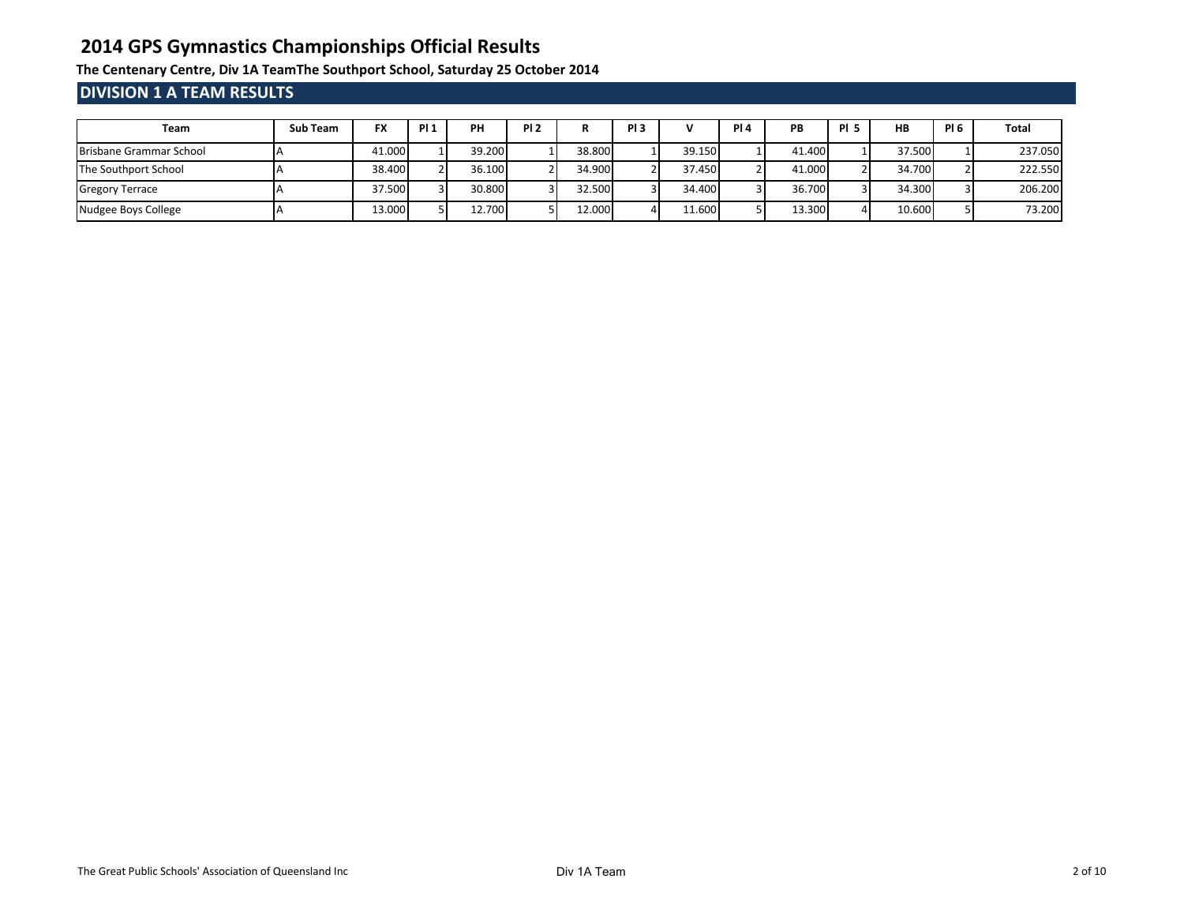**The Centenary Centre, Div 1A TeamThe Southport School, Saturday 25 October 2014**

## **DIVISION 1 A TEAM RESULTS**

| Team                    | Sub Team | <b>FX</b> | <b>PI1</b> | PH     | PI <sub>2</sub> | n      | PI <sub>3</sub> | v      | <b>PI4</b> | PB     | <b>PI 5</b> | <b>HB</b> | <b>PI 6</b> | Total   |
|-------------------------|----------|-----------|------------|--------|-----------------|--------|-----------------|--------|------------|--------|-------------|-----------|-------------|---------|
| Brisbane Grammar School |          | 41.000    |            | 39.200 |                 | 38.800 |                 | 39.150 |            | 41.400 |             | 37.500    |             | 237.050 |
| The Southport School    |          | 38.400    |            | 36.100 |                 | 34.900 |                 | 37.450 |            | 41.000 |             | 34.700    |             | 222.550 |
| <b>Gregory Terrace</b>  |          | 37.500    |            | 30.800 |                 | 32.500 |                 | 34.400 |            | 36.700 |             | 34.300    |             | 206.200 |
| Nudgee Boys College     |          | 13.000    |            | 12.700 |                 | 12.000 |                 | 11.600 |            | 13.300 |             | 10.600    |             | 73.200  |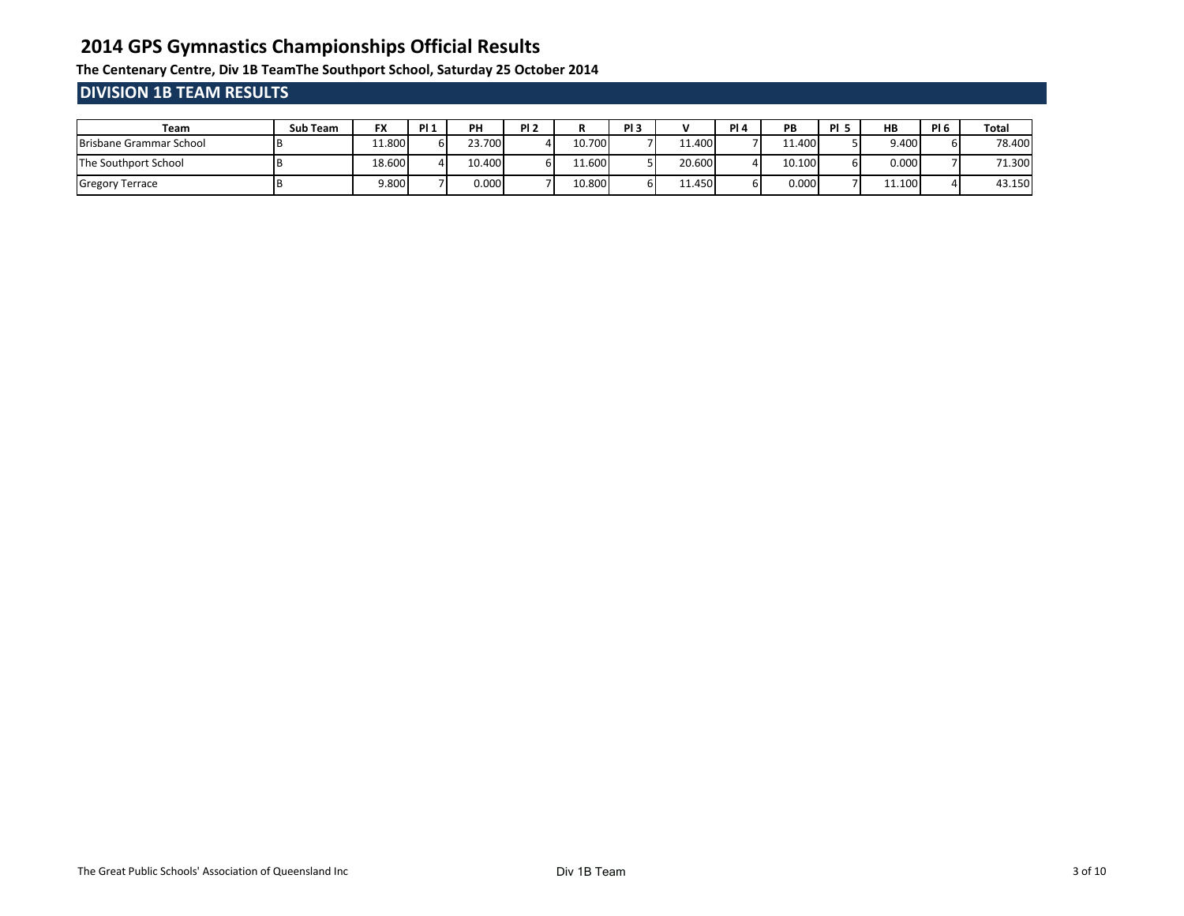**The Centenary Centre, Div 1B TeamThe Southport School, Saturday 25 October 2014**

## **DIVISION 1B TEAM RESULTS**

| Team                    | <b>Sub Team</b> | FX     | <b>PI1</b> | PH     | PI <sub>2</sub> |        | PI <sub>3</sub> |        | <b>PI4</b> | PB     | DI E | <b>HB</b> | PI <sub>6</sub> | Total  |
|-------------------------|-----------------|--------|------------|--------|-----------------|--------|-----------------|--------|------------|--------|------|-----------|-----------------|--------|
| Brisbane Grammar School |                 | 11.800 |            | 23.700 |                 | 10.700 |                 | 11.400 |            | 11.400 |      | 9.400     |                 | 78.400 |
| The Southport School    |                 | 18.600 |            | 10.400 | bΙ              | 11.600 |                 | 20.600 |            | 10.100 |      | 0.000     |                 | 71.300 |
| <b>Gregory Terrace</b>  |                 | 9.800  |            | 0.000  |                 | 10.800 | ы               | 11.450 |            | 0.000  |      | 11.100    |                 | 43.150 |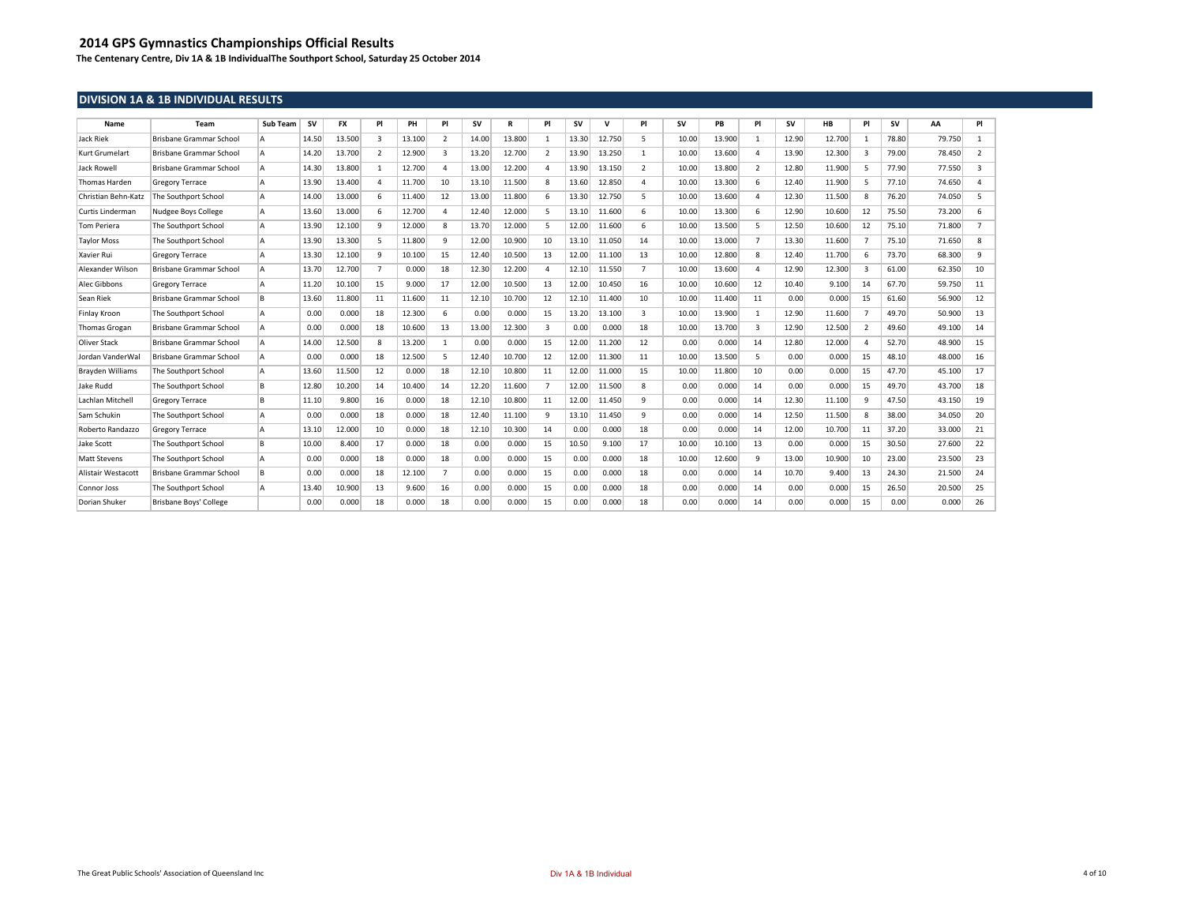**The Centenary Centre, Div 1A & 1B IndividualThe Southport School, Saturday 25 October 2014**

### **DIVISION 1A & 1B INDIVIDUAL RESULTS**

| Name                    | Team                           | Sub Team | <b>SV</b> | <b>FX</b> | PI             | PH     | PI             | <b>SV</b> | R      | PI             | <b>SV</b> | $\mathbf{v}$ | PI             | <b>SV</b> | PB     | PI             | sv    | <b>HB</b> | PI             | <b>SV</b> | AA     | PI             |
|-------------------------|--------------------------------|----------|-----------|-----------|----------------|--------|----------------|-----------|--------|----------------|-----------|--------------|----------------|-----------|--------|----------------|-------|-----------|----------------|-----------|--------|----------------|
| <b>Jack Riek</b>        | Brisbane Grammar School        | ۱A       | 14.50     | 13.500    | $\mathbf{a}$   | 13.100 | $\overline{2}$ | 14.00     | 13,800 | $\mathbf{1}$   | 13.30     | 12.750       | 5.             | 10.00     | 13.900 | $\mathbf{1}$   | 12.90 | 12,700    | 1              | 78.80     | 79.750 | $\mathbf{1}$   |
| Kurt Grumelart          | Brisbane Grammar School        | ۱A       | 14.20     | 13.700    | $\overline{2}$ | 12,900 | 3              | 13.20     | 12.700 | 2              | 13.90     | 13.250       | $\mathbf{1}$   | 10.00     | 13,600 | $\Delta$       | 13.90 | 12,300    | $\overline{3}$ | 79.00     | 78.450 | $\overline{2}$ |
| <b>Jack Rowell</b>      | Brisbane Grammar School        | Δ        | 14.30     | 13,800    |                | 12.700 | 4              | 13.00     | 12,200 | 4              | 13.90     | 13.150       | 2              | 10.00     | 13.800 | $\overline{2}$ | 12.80 | 11.900    | 5              | 77.90     | 77.550 | $\overline{3}$ |
| Thomas Harden           | <b>Gregory Terrace</b>         | ۱Δ       | 13.90     | 13.400    | $\Delta$       | 11.700 | 10             | 13.10     | 11.500 | 8              | 13.60     | 12.850       | $\overline{a}$ | 10.00     | 13.300 | 6              | 12.40 | 11.900    | 5              | 77.10     | 74.650 | 4              |
| Christian Behn-Katz     | The Southport School           | ۱Δ       | 14.00     | 13.000    |                | 11.400 | 12             | 13.00     | 11.800 | 6              | 13.30     | 12.750       | 5              | 10.00     | 13.600 | $\Delta$       | 12.30 | 11.500    | 8              | 76.20     | 74.050 | 5              |
| <b>Curtis Linderman</b> | Nudgee Boys College            | lА.      | 13.60     | 13.000    | 6              | 12.700 | $\overline{a}$ | 12.40     | 12.000 | 5              | 13.10     | 11.600       | 6              | 10.00     | 13.300 | 6              | 12.90 | 10.600    | 12             | 75.50     | 73.200 | 6              |
| <b>Tom Periera</b>      | The Southport School           | ۱Δ       | 13.90     | 12.100    | <sub>9</sub>   | 12.000 | 8              | 13.70     | 12.000 | 5              | 12.00     | 11.600       | 6              | 10.00     | 13.500 | 5              | 12.50 | 10.600    | 12             | 75.10     | 71,800 | $\overline{7}$ |
| <b>Taylor Moss</b>      | The Southport School           | ۱A       | 13.90     | 13,300    | 5              | 11.800 | 9              | 12.00     | 10.900 | 10             | 13.10     | 11.050       | 14             | 10.00     | 13.000 | $\overline{7}$ | 13.30 | 11.600    | $\overline{7}$ | 75.10     | 71.650 | 8              |
| Xavier Rui              | <b>Gregory Terrace</b>         | ۱A       | 13.30     | 12.100    | <sub>q</sub>   | 10.100 | 15             | 12.40     | 10.500 | 13             | 12.00     | 11.100       | 13             | 10.00     | 12.800 | 8              | 12.40 | 11,700    | 6              | 73.70     | 68,300 | 9              |
| Alexander Wilson        | Brisbane Grammar School        |          | 13.70     | 12.700    | $\overline{7}$ | 0.000  | 18             | 12.30     | 12.200 | 4              | 12.10     | 11.550       | $\overline{7}$ | 10.00     | 13.600 | $\overline{4}$ | 12.90 | 12,300    | $\overline{3}$ | 61.00     | 62.350 | 10             |
| Alec Gibbons            | <b>Gregory Terrace</b>         |          | 11.20     | 10.100    | 15             | 9.000  | 17             | 12.00     | 10.500 | 13             | 12.00     | 10.450       | 16             | 10.00     | 10.600 | 12             | 10.40 | 9.100     | 14             | 67.70     | 59.750 | 11             |
| Sean Riek               | <b>Brisbane Grammar School</b> | R        | 13.60     | 11.800    | 11             | 11.600 | 11             | 12.10     | 10.700 | 12             | 12.10     | 11.400       | 10             | 10.00     | 11.400 | 11             | 0.00  | 0.000     | 15             | 61.60     | 56,900 | 12             |
| Finlay Kroon            | The Southport School           |          | 0.00      | 0.000     | 18             | 12.300 | 6              | 0.00      | 0.000  | 15             | 13.20     | 13.100       | $\overline{3}$ | 10.00     | 13.900 | $\mathbf{1}$   | 12.90 | 11.600    | $\overline{7}$ | 49.70     | 50,900 | 13             |
| <b>Thomas Grogan</b>    | Brisbane Grammar School        | ۱Δ       | 0.00      | 0.000     | 18             | 10.600 | 13             | 13.00     | 12.300 | $\overline{3}$ | 0.00      | 0.000        | 18             | 10.00     | 13.700 | $\overline{3}$ | 12.90 | 12.500    | $\overline{2}$ | 49.60     | 49.100 | 14             |
| Oliver Stack            | Brisbane Grammar School        | ۱Δ       | 14.00     | 12.500    | 8              | 13.200 | $\mathbf{1}$   | 0.00      | 0.000  | 15             | 12.00     | 11.200       | 12             | 0.00      | 0.000  | 14             | 12.80 | 12.000    | $\overline{a}$ | 52.70     | 48.900 | 15             |
| Jordan VanderWal        | Brisbane Grammar School        | ۱Δ       | 0.00      | 0.000     | 18             | 12.500 | 5              | 12.40     | 10.700 | 12             | 12.00     | 11.300       | 11             | 10.00     | 13.500 | 5              | 0.00  | 0.000     | 15             | 48.10     | 48,000 | 16             |
| <b>Brayden Williams</b> | The Southport School           | ۱Δ       | 13.60     | 11.500    | 12             | 0.000  | 18             | 12.10     | 10.800 | 11             | 12.00     | 11.000       | 15             | 10.00     | 11.800 | 10             | 0.00  | 0.000     | 15             | 47.70     | 45.100 | 17             |
| Jake Rudd               | The Southport School           | l B      | 12.80     | 10.200    | 14             | 10.400 | 14             | 12.20     | 11.600 | $\overline{7}$ | 12.00     | 11.500       | 8              | 0.00      | 0.000  | 14             | 0.00  | 0.000     | 15             | 49.70     | 43.700 | 18             |
| Lachlan Mitchell        | <b>Gregory Terrace</b>         | l B      | 11.10     | 9.800     | 16             | 0.000  | 18             | 12.10     | 10.800 | 11             | 12.00     | 11.450       | 9              | 0.00      | 0.000  | 14             | 12.30 | 11.100    | $\mathbf{q}$   | 47.50     | 43.150 | 19             |
| Sam Schukin             | The Southport School           | ۱Δ       | 0.00      | 0.000     | 18             | 0.000  | 18             | 12.40     | 11.100 | 9              | 13.10     | 11.450       | $\mathbf{q}$   | 0.00      | 0.000  | 14             | 12.50 | 11.500    | 8              | 38.00     | 34.050 | 20             |
| Roberto Randazzo        | <b>Gregory Terrace</b>         | ۱A       | 13.10     | 12.000    | 10             | 0.000  | 18             | 12.10     | 10.300 | 14             | 0.00      | 0.000        | 18             | 0.00      | 0.000  | 14             | 12.00 | 10.700    | 11             | 37.20     | 33,000 | 21             |
| Jake Scott              | The Southport School           | R        | 10.00     | 8.400     | 17             | 0.000  | 18             | 0.00      | 0.000  | 15             | 10.50     | 9.100        | 17             | 10.00     | 10.100 | 13             | 0.00  | 0.000     | 15             | 30.50     | 27,600 | 22             |
| <b>Matt Stevens</b>     | The Southport School           | ۱A       | 0.00      | 0.000     | 18             | 0.000  | 18             | 0.00      | 0.000  | 15             | 0.00      | 0.000        | 18             | 10.00     | 12.600 | 9              | 13.00 | 10.900    | 10             | 23.00     | 23.500 | 23             |
| Alistair Westacot       | Brisbane Grammar School        | R        | 0.00      | 0.000     | 18             | 12.100 | $\overline{7}$ | 0.00      | 0.000  | 15             | 0.00      | 0.000        | 18             | 0.00      | 0.000  | 14             | 10.70 | 9.400     | 13             | 24.30     | 21.500 | 24             |
| Connor Joss             | The Southport School           |          | 13.40     | 10.900    | 13             | 9.600  | 16             | 0.00      | 0.000  | 15             | 0.00      | 0.000        | 18             | 0.00      | 0.000  | 14             | 0.00  | 0.000     | 15             | 26.50     | 20,500 | 25             |
| Dorian Shuker           | <b>Brisbane Boys' College</b>  |          | 0.00      | 0.000     | 18             | 0.000  | 18             | 0.00      | 0.000  | 15             | 0.00      | 0.000        | 18             | 0.00      | 0.000  | 14             | 0.00  | 0.000     | 15             | 0.00      | 0.000  | 26             |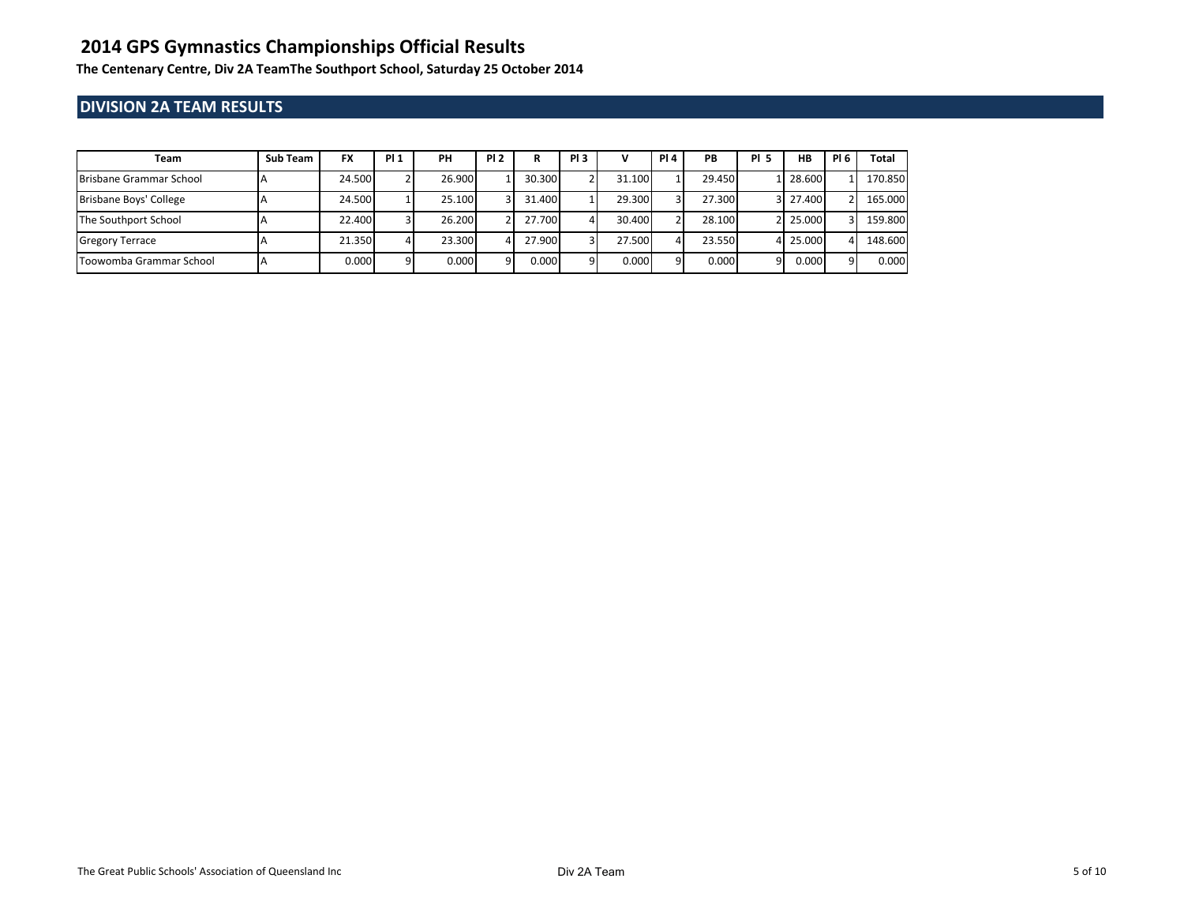**The Centenary Centre, Div 2A TeamThe Southport School, Saturday 25 October 2014**

### **DIVISION 2A TEAM RESULTS**

| Team                           | Sub Team | <b>FX</b> | <b>PI1</b> | PH     | <b>PI2</b> | R      | PI <sub>3</sub> |        | <b>PI4</b> | PВ     | <b>PI 5</b> | <b>HB</b> | <b>PI 6</b> | Total   |
|--------------------------------|----------|-----------|------------|--------|------------|--------|-----------------|--------|------------|--------|-------------|-----------|-------------|---------|
| <b>Brisbane Grammar School</b> |          | 24.500    |            | 26.900 |            | 30.300 |                 | 31.100 |            | 29.450 |             | 1 28,600  |             | 170.850 |
| Brisbane Boys' College         |          | 24.500    |            | 25.100 |            | 31.400 |                 | 29.300 | ٩I         | 27.300 |             | 3 27.400  |             | 165.000 |
| The Southport School           |          | 22.400    |            | 26.200 |            | 27.700 |                 | 30.400 |            | 28.100 |             | 2 25,000  |             | 159.800 |
| <b>Gregory Terrace</b>         |          | 21.350    |            | 23.300 |            | 27.900 |                 | 27.500 |            | 23.550 |             | 4 25,000  |             | 148.600 |
| Toowomba Grammar School        |          | 0.000     |            | 0.000  |            | 0.000  | 91              | 0.000  | Q          | 0.000  | 91          | 0.000     | 91          | 0.000   |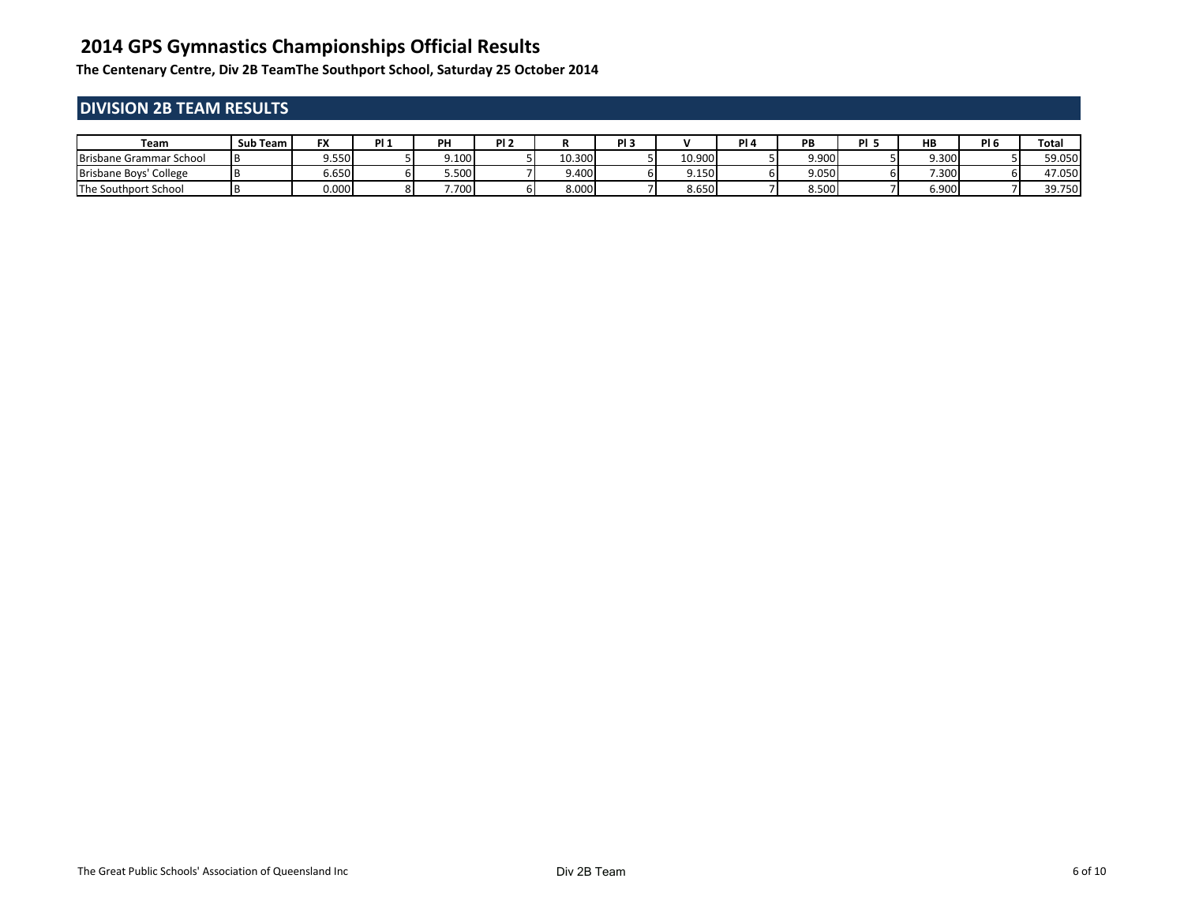**The Centenary Centre, Div 2B TeamThe Southport School, Saturday 25 October 2014**

## **DIVISION 2B TEAM RESULTS**

| Team                                 | Sub Team | - 77<br>гл | DL: | PН    | - ni f |        | ni 1 |        | . . | PB    | nі | HB    | $\sim$ $\sim$ | <b>Total</b> |
|--------------------------------------|----------|------------|-----|-------|--------|--------|------|--------|-----|-------|----|-------|---------------|--------------|
| Brisbane Grammar School              |          | 9.550      |     | 9.100 |        | 10.300 |      | 10.900 |     | 9.900 |    | 9.300 |               | 59.050       |
| Brisbane Boys' College               |          | ا 650.د    | оı  | 5.500 |        | 4.400  |      | 9.150  |     | 9.050 |    | 7.300 |               | 47.050       |
| School <sup>.</sup><br>The Southport |          | 0.000      |     | 7.700 |        | 8.000  |      | 8.650  |     | 8.500 |    | 6.900 |               | 39.750       |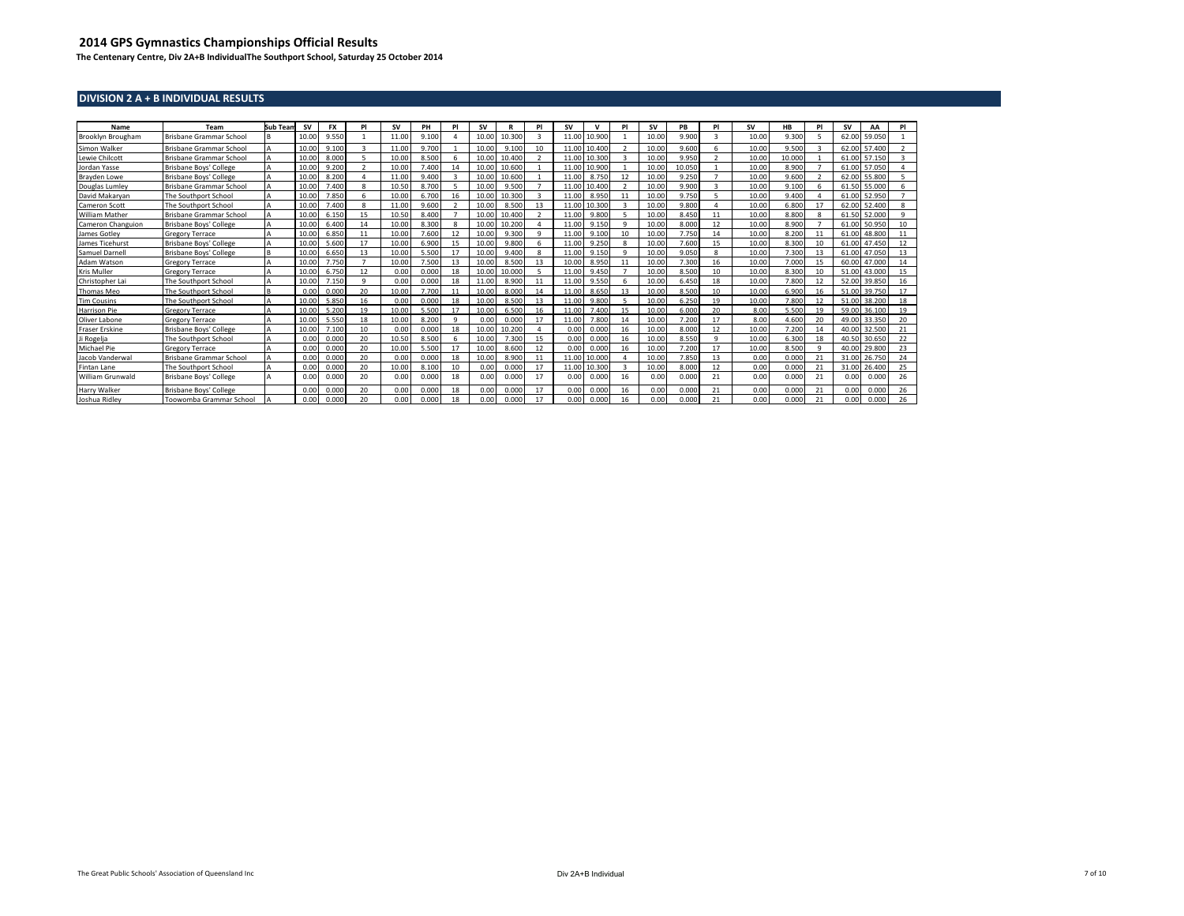**The Centenary Centre, Div 2A+B IndividualThe Southport School, Saturday 25 October 2014**

#### **DIVISION 2 A + B INDIVIDUAL RESULTS**

| Name                     | Team                    | <b>Sub Tean</b> | <b>SV</b> | <b>FX</b> | PI                      | <b>SV</b> | PH    | PI                | <b>SV</b> |        | PI | <b>SV</b> | $\mathbf{v}$ | P             | <b>SV</b> | PB     | P                       | <b>SV</b> | HB     | PI | <b>SV</b> | AΑ     | PI             |
|--------------------------|-------------------------|-----------------|-----------|-----------|-------------------------|-----------|-------|-------------------|-----------|--------|----|-----------|--------------|---------------|-----------|--------|-------------------------|-----------|--------|----|-----------|--------|----------------|
| Brooklyn Brougham        | Brisbane Grammar School |                 | 10.00     | 9.550     |                         | 11.00     | 9.100 |                   | 10.00     | 10,300 | 3  | 11.0      | 10.900       |               | 10.00     | 9,900  | $\overline{\mathbf{a}}$ | 10.00     | 9.300  |    | 62.00     | 59,050 |                |
| Simon Walker             | Brisbane Grammar School |                 | 10.00     | 9.100     | $\overline{\mathbf{z}}$ | 11.00     | 9.700 |                   | 10.00     | 9.100  | 10 | 11.0      | 10.400       | $\mathcal{D}$ | 10.00     | 9,600  |                         | 10.00     | 9.500  |    | 62.00     | 57.400 | $\overline{2}$ |
| Lewie Chilcott           | Brisbane Grammar School |                 | 10.00     | 8,000     |                         | 10.00     | 8.500 |                   | 10.00     | 10,400 |    | 11.       | 10.300       |               | 10.00     | 9.950  |                         | 10.00     | 10.000 |    | 61.00     | 57.150 | २              |
| Jordan Yasse             | Brisbane Boys' College  |                 | 10.00     | 9.200     |                         | 10.00     | 7.400 | 14                | 10.00     | 10.600 |    | 11.       | 10.900       |               | 10.00     | 10.050 |                         | 10.00     | 8.900  |    | 61.00     | 57.050 |                |
| Brayden Lowe             | Brisbane Boys' College  |                 | 10.00     | 8.200     |                         | 11.00     | 9.400 | 3                 | 10.00     | 10.600 |    | 11.0      | 8.750        | 12            | 10.00     | 9.250  |                         | 10.00     | 9.600  |    | 62.00     | 55,800 |                |
| Douglas Lumley           | Brisbane Grammar School |                 | 10.00     | 7.400     | 8                       | 10.50     | 8.700 |                   | 10.00     | 9.500  |    | 11.       | 10.400       | ຳ             | 10.00     | 9,900  |                         | 10.00     | 9.100  |    | 61.50     | 55,000 | 6              |
| David Makarvan           | The Southport School    |                 | 10.00     | 7.850     | 6                       | 10.00     | 6.70  | 16                | 10.00     | 10.300 |    | 11.       | 8.950        | 11            | 10.00     | 9.750  |                         | 10.00     | 9.400  |    | 61.00     | 52.950 |                |
| <b>Cameron Scott</b>     | The Southport School    | A               | 10.00     | 7.400     | 8                       | 11.00     | 9,600 | $\mathbf{\Omega}$ | 10.00     | 8.500  | 13 | 11.       | 10.300       |               | 10.00     | 9,800  |                         | 10.00     | 6.800  | 17 | 62.00     | 52,400 | 8              |
| <b>William Mather</b>    | Brisbane Grammar School |                 | 10.00     | 6.150     | 15                      | 10.50     | 8.400 |                   | 10.00     | 10.400 |    | 11.1      | 9.800        |               | 10.00     | 8.450  | 11                      | 10.00     | 8.800  |    | 61.50     | 52,000 | $\mathbf{Q}$   |
| <b>Cameron Changuion</b> | Brisbane Boys' College  | A               | 10.0      | 6.400     | 14                      | 10.00     | 8.300 |                   | 10.00     | 10.200 | Δ  | 11.0      | 9.150        | $\mathbf{Q}$  | 10.00     | 8,000  | 12                      | 10.00     | 8.900  |    | 61.00     | 50.950 | 10             |
| James Gotley             | <b>Gregory Terrace</b>  |                 | 10.00     | 6.850     | 11                      | 10.00     | 7.600 | 12                | 10.00     | 9.300  | q  | 11        | 9.100        | 10            | 10.00     | 7.750  | 14                      | 10.00     | 8.200  |    | 61.00     | 48.800 | 11             |
| James Ticehurst          | Brisbane Boys' College  |                 | 10.00     | 5.600     | 17                      | 10.00     | 6.900 | 15                | 10.00     | 9.800  |    | 11.       | 9.250        | 8             | 10.00     | 7.600  | 15                      | 10.00     | 8.300  | 10 | 61.00     | 47.450 | 12             |
| Samuel Darnell           | Brisbane Boys' College  | B               | 10.00     | 6.650     | 13                      | 10.00     | 5.500 | 17                | 10.00     | 9.400  | 8  | 11.0      | 9.150        | $\mathbf{q}$  | 10.00     | 9.050  | 8                       | 10.00     | 7.300  | 13 | 61.00     | 47.050 | 13             |
| Adam Watson              | <b>Gregory Terrace</b>  |                 | 10.0      | 7.750     |                         | 10.00     | 7.500 | 13                | 10.00     | 8.500  | 13 | 10.0      | 8.950        | -11           | 10.00     | 7.300  | 16                      | 10.00     | 7.000  |    | 60.00     | 47.000 | 14             |
| <b>Kris Muller</b>       | <b>Gregory Terrace</b>  |                 | 10.00     | 6.750     | 12                      | 0.00      | 0.000 | 18                | 10.00     | 10.000 |    | 11.0      | 9.450        |               | 10.00     | 8.500  | 10                      | 10.00     | 8.300  | 10 | 51.00     | 43,000 | 15             |
| Christopher Lai          | The Southport School    |                 | 10.00     | 7.150     | $\alpha$                | 0.00      | 0.000 | 18                | 11.00     | 8.900  | 11 | 11.0      | 9.550        |               | 10.00     | 6.450  | 18                      | 10.00     | 7.800  | 12 | 52.00     | 39.850 | 16             |
| <b>Thomas Meo</b>        | The Southport School    | <b>B</b>        | 0.00      | 0.000     | 20                      | 10.00     | 7.700 | 11                | 10.00     | 8.000  | 14 | 11.0      | 8.650        | 13            | 10.00     | 8.500  | 10                      | 10.00     | 6.900  | 16 | 51.00     | 39.750 | 17             |
| <b>Tim Cousins</b>       | The Southport School    |                 | 10.00     | 5.850     | 16                      | 0.00      | 0.000 | 18                | 10.00     | 8.500  | 13 | 11.00     | 9,800        |               | 10.00     | 6.250  | 19                      | 10.00     | 7.800  | 12 | 51.00     | 38,200 | 18             |
| Harrison Pie             | <b>Gregory Terrace</b>  |                 | 10.00     | 5.200     | 10                      | 10.00     | 5.500 | 17                | 10.00     | 6.500  | 16 |           | 7.400        | 15            | 10.00     | 6.000  | 20                      | 8.00      | 5.500  | 10 | 59.00     | 36,100 | 19             |
| Oliver Labone            | <b>Gregory Terrace</b>  |                 | 10.00     | 5.550     | 18                      | 10.00     | 8.200 |                   | 0.00      | 0.000  | 17 |           | 7.800        | 14            | 10.00     | 7.200  | 17                      | 8.00      | 4.600  | 20 | 49.00     | 33.350 | 20             |
| Fraser Erskine           | Brisbane Boys' College  |                 | 10.00     | 7.100     |                         | 0.00      | 0.000 | 18                | 10.00     | 10.200 |    | n nn      | 0.000        | 16            | 10.00     | 8,000  | 12                      | 10.00     | 7.200  |    | 40.00     | 32.500 | 21             |
| Ji Rogelia               | The Southport School    |                 | 0.00      | 0.000     | 20                      | 10.50     | 8,500 |                   | 10.00     | 7.300  | 15 | 0.00      | 0.000        | 16            | 10.00     | 8.550  |                         | 10.00     | 6.300  | 18 | 40.50     | 30.650 | 22             |
| Michael Pie              | <b>Gregory Terrace</b>  |                 | 0.00      | 0.000     | 20                      | 10.00     | 5.500 | 17                | 10.00     | 8.600  | 12 | 0.00      | 0.000        | 16            | 10.00     | 7.200  | 17                      | 10.00     | 8.500  |    | 40.00     | 29.800 | 23             |
| Jacob Vanderwa           | Brisbane Grammar School |                 | 0.00      | 0.000     | 20                      | 0.00      | 0.000 | 18                | 10.00     | 8.900  | 11 |           | 10.000       |               | 10.00     | 7.850  |                         | 0.00      | 0.000  |    | 31.00     | 26.750 | 24             |
| Fintan Lane              | The Southport School    |                 | 0.00      | 0.000     | 20                      | 10.00     | 8.10  | 10 <sup>1</sup>   | 0.00      | 0.000  | 17 |           | 10.300       |               | 10.00     | 8,000  | 12                      | 0.00      | 0.000  |    | 31.00     | 26.400 | 25             |
| William Grunwald         | Brisbane Boys' College  |                 | 0.00      | 0.000     | 20                      | 0.00      | 0.000 | 18                | 0.00      | 0.000  | 17 | 0.00      | 0.000        | 16            | 0.00      | 0.000  | 21                      | 0.00      | 0.000  | 21 | 0.00      | 0.000  | 26             |
| <b>Harry Walker</b>      | Brisbane Boys' College  |                 | 0.01      | 0.000     | 20                      | 0.00      | 0.000 | 18                | 0.00      | 0.000  | 17 | 0.00      | 0.000        | 16            | 0.00      | 0.000  | 21                      | 0.00      | 0.000  | 21 | 0.00      | 0.000  | 26             |
| Joshua Ridley            | Toowomba Grammar School |                 | 0.00      | 0.000     | 20                      | 0.00      | 0.000 | 18                | 0.00      | 0.000  | 17 | 0.00      | 0.000        | 16            | 0.00      | 0.000  | 21                      | 0.00      | 0.000  | 21 | 0.00      | 0.000  | 26             |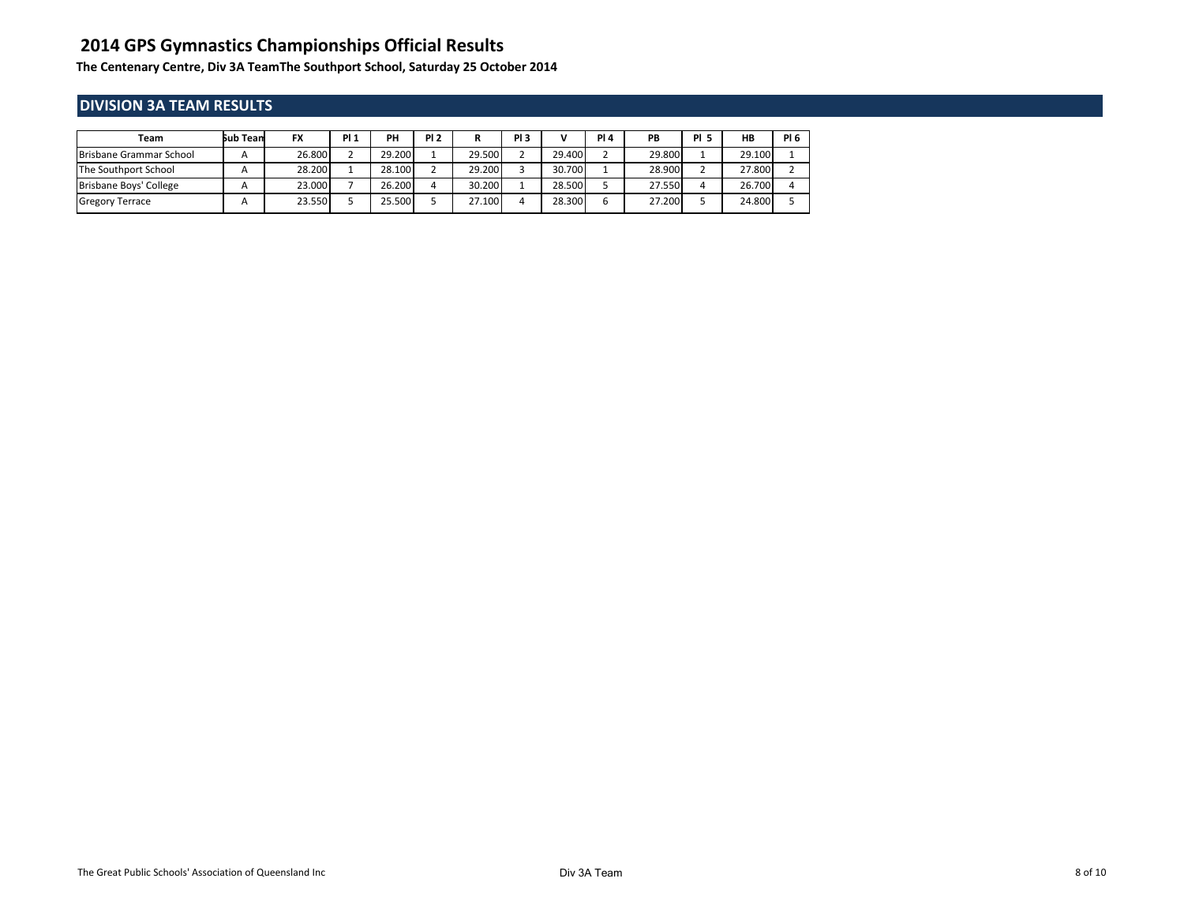**The Centenary Centre, Div 3A TeamThe Southport School, Saturday 25 October 2014**

## **DIVISION 3A TEAM RESULTS**

| Team                    | sub Tean | <b>FX</b> | <b>PI1</b> | PH     | <b>PI2</b> |        | PI <sub>3</sub> | v      | <b>PI4</b> | <b>PB</b> | <b>PI 5</b> | HB     | <b>PI 6</b> |
|-------------------------|----------|-----------|------------|--------|------------|--------|-----------------|--------|------------|-----------|-------------|--------|-------------|
| Brisbane Grammar School |          | 26.800    |            | 29.200 |            | 29.500 |                 | 29.400 |            | 29.800    |             | 29.100 |             |
| The Southport School    |          | 28.200    |            | 28.100 |            | 29.200 |                 | 30.700 |            | 28.900    |             | 27.800 |             |
| Brisbane Boys' College  |          | 23.000    |            | 26.200 |            | 30.200 |                 | 28.500 |            | 27.550    |             | 26.700 |             |
| <b>Gregory Terrace</b>  |          | 23.550    |            | 25.500 |            | 27.100 |                 | 28.300 |            | 27.200    |             | 24.800 |             |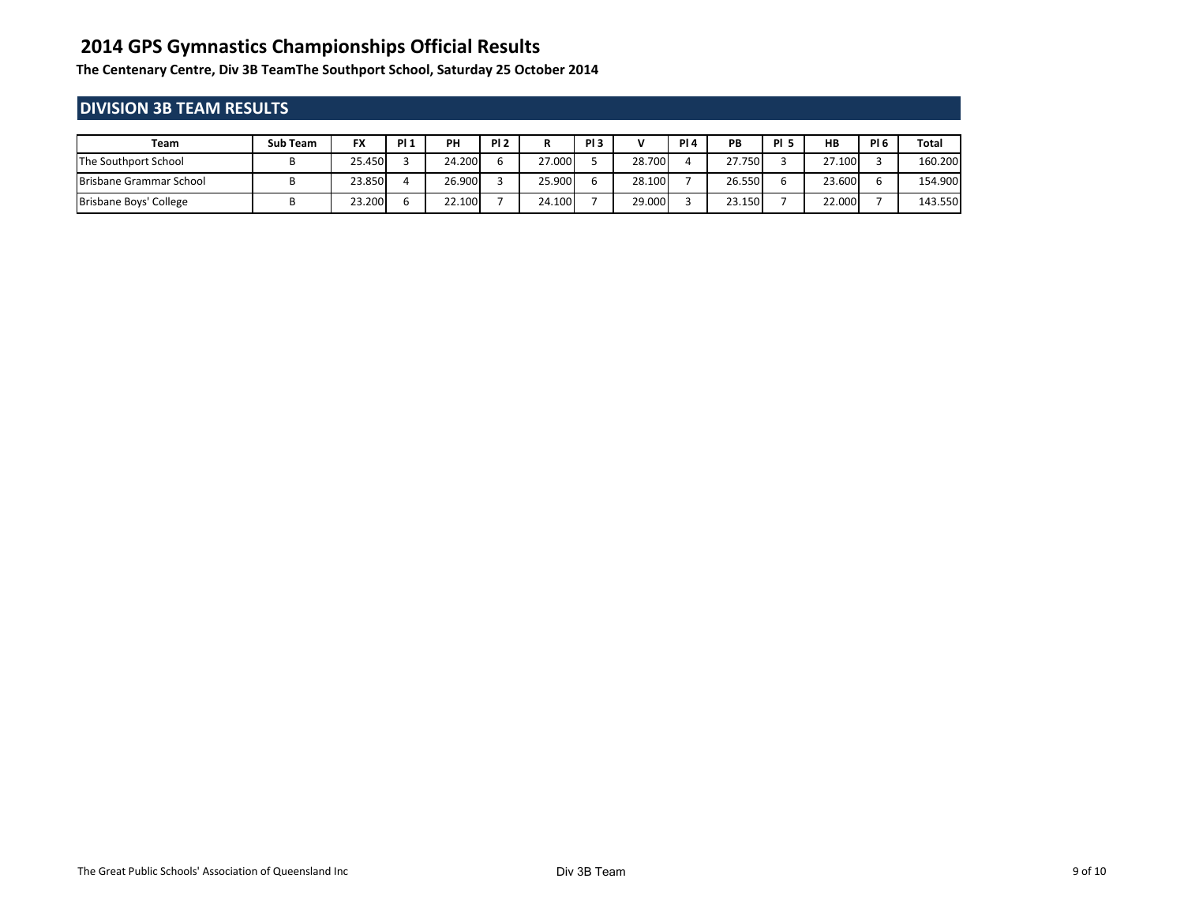**The Centenary Centre, Div 3B TeamThe Southport School, Saturday 25 October 2014**

## **DIVISION 3B TEAM RESULTS**

| Team                    | Sub Team | <b>FX</b> | PI <sub>1</sub> | PH     | PI <sub>2</sub> | D.     | PI <sub>3</sub> | v      | PI4 | PB     | <b>PI 5</b> | <b>HB</b> | <b>PI 6</b> | Total   |
|-------------------------|----------|-----------|-----------------|--------|-----------------|--------|-----------------|--------|-----|--------|-------------|-----------|-------------|---------|
| The Southport School    |          | 25.450    |                 | 24.200 |                 | 27.000 |                 | 28.700 |     | 27.750 |             | 27.100    |             | 160.200 |
| Brisbane Grammar School |          | 23.850    |                 | 26.900 |                 | 25.900 |                 | 28.100 |     | 26.550 | b           | 23.600    |             | 154.900 |
| Brisbane Boys' College  |          | 23.200    |                 | 22.100 |                 | 24.100 |                 | 29.000 |     | 23.150 |             | 22.000    |             | 143.550 |